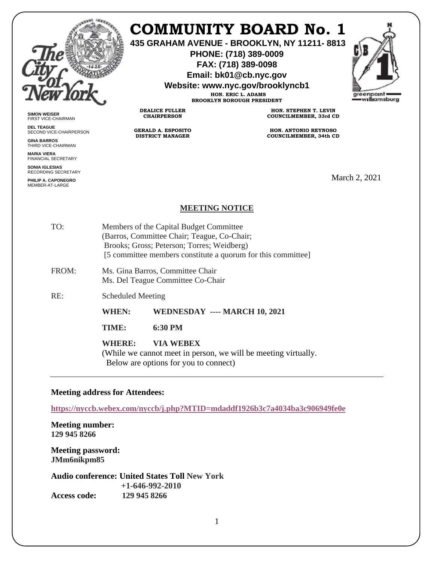

## **COMMUNITY BOARD No. 1**

**435 GRAHAM AVENUE - BROOKLYN, NY 11211- 8813**

**PHONE: (718) 389-0009 FAX: (718) 389-0098**

**Email: bk01@cb.nyc.gov**

**Website: www.nyc.gov/brooklyncb1**

**HON. ERIC L. ADAMS BROOKLYN BOROUGH PRESIDENT**



**SIMON WEISER** FIRST VICE-CHAIRMAN

**DEL TEAGUE** SECOND VICE-CHAIRPERSON

**GINA BARROS** THIRD VICE-CHAIRMAN

**MARIA VIERA** FINANCIAL SECRETARY

**SONIA IGLESIAS** RECORDING SECRETARY

**PHILIP A. CAPONEGRO** MEMBER-AT-LARGE

**HON. STEPHEN T. LEVIN COUNCILMEMBER, 33rd CD**

**HON. ANTONIO REYNOSO COUNCILMEMBER, 34th CD**

March 2, 2021

## **MEETING NOTICE**

| TO:   | Members of the Capital Budget Committee<br>(Barros, Committee Chair; Teague, Co-Chair;<br>Brooks; Gross; Peterson; Torres; Weidberg)<br>[5] committee members constitute a quorum for this committee] |                                                                                                                             |
|-------|-------------------------------------------------------------------------------------------------------------------------------------------------------------------------------------------------------|-----------------------------------------------------------------------------------------------------------------------------|
| FROM: | Ms. Gina Barros, Committee Chair<br>Ms. Del Teague Committee Co-Chair                                                                                                                                 |                                                                                                                             |
| RE:   | <b>Scheduled Meeting</b>                                                                                                                                                                              |                                                                                                                             |
|       | <b>WHEN:</b>                                                                                                                                                                                          | WEDNESDAY ---- MARCH 10, 2021                                                                                               |
|       | TIME:                                                                                                                                                                                                 | $6:30$ PM                                                                                                                   |
|       | WHERE:                                                                                                                                                                                                | <b>VIA WEBEX</b><br>(While we cannot meet in person, we will be meeting virtually.<br>Below are options for you to connect) |

**DEALICE FULLER CHAIRPERSON**

**GERALD A. ESPOSITO DISTRICT MANAGER**

## **Meeting address for Attendees:**

**<https://nyccb.webex.com/nyccb/j.php?MTID=mdaddf1926b3c7a4034ba3c906949fe0e>**

**Meeting number: 129 945 8266**

**Meeting password: JMm6nikpm85** 

**Audio conference: United States Toll New York +1-646-992-2010 Access code: 129 945 8266**